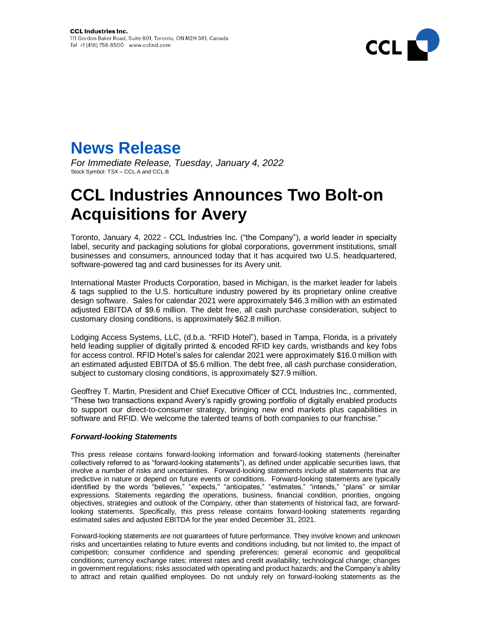



*For Immediate Release, Tuesday, January 4, 2022* Stock Symbol: TSX - CCL.A and CCL.B

## **CCL Industries Announces Two Bolt-on Acquisitions for Avery**

Toronto, January 4, 2022 - CCL Industries Inc. ("the Company"), a world leader in specialty label, security and packaging solutions for global corporations, government institutions, small businesses and consumers, announced today that it has acquired two U.S. headquartered, software-powered tag and card businesses for its Avery unit.

International Master Products Corporation, based in Michigan, is the market leader for labels & tags supplied to the U.S. horticulture industry powered by its proprietary online creative design software. Sales for calendar 2021 were approximately \$46.3 million with an estimated adjusted EBITDA of \$9.6 million. The debt free, all cash purchase consideration, subject to customary closing conditions, is approximately \$62.8 million.

Lodging Access Systems, LLC, (d.b.a. "RFID Hotel"), based in Tampa, Florida, is a privately held leading supplier of digitally printed & encoded RFID key cards, wristbands and key fobs for access control. RFID Hotel's sales for calendar 2021 were approximately \$16.0 million with an estimated adjusted EBITDA of \$5.6 million. The debt free, all cash purchase consideration, subject to customary closing conditions, is approximately \$27.9 million.

Geoffrey T. Martin, President and Chief Executive Officer of CCL Industries Inc., commented, "These two transactions expand Avery's rapidly growing portfolio of digitally enabled products to support our direct-to-consumer strategy, bringing new end markets plus capabilities in software and RFID. We welcome the talented teams of both companies to our franchise."

## *Forward-looking Statements*

This press release contains forward-looking information and forward-looking statements (hereinafter collectively referred to as "forward-looking statements"), as defined under applicable securities laws, that involve a number of risks and uncertainties. Forward-looking statements include all statements that are predictive in nature or depend on future events or conditions. Forward-looking statements are typically identified by the words "believes," "expects," "anticipates," "estimates," "intends," "plans" or similar expressions. Statements regarding the operations, business, financial condition, priorities, ongoing objectives, strategies and outlook of the Company, other than statements of historical fact, are forwardlooking statements. Specifically, this press release contains forward-looking statements regarding estimated sales and adjusted EBITDA for the year ended December 31, 2021.

Forward-looking statements are not guarantees of future performance. They involve known and unknown risks and uncertainties relating to future events and conditions including, but not limited to, the impact of competition; consumer confidence and spending preferences; general economic and geopolitical conditions; currency exchange rates; interest rates and credit availability; technological change; changes in government regulations; risks associated with operating and product hazards; and the Company's ability to attract and retain qualified employees. Do not unduly rely on forward-looking statements as the